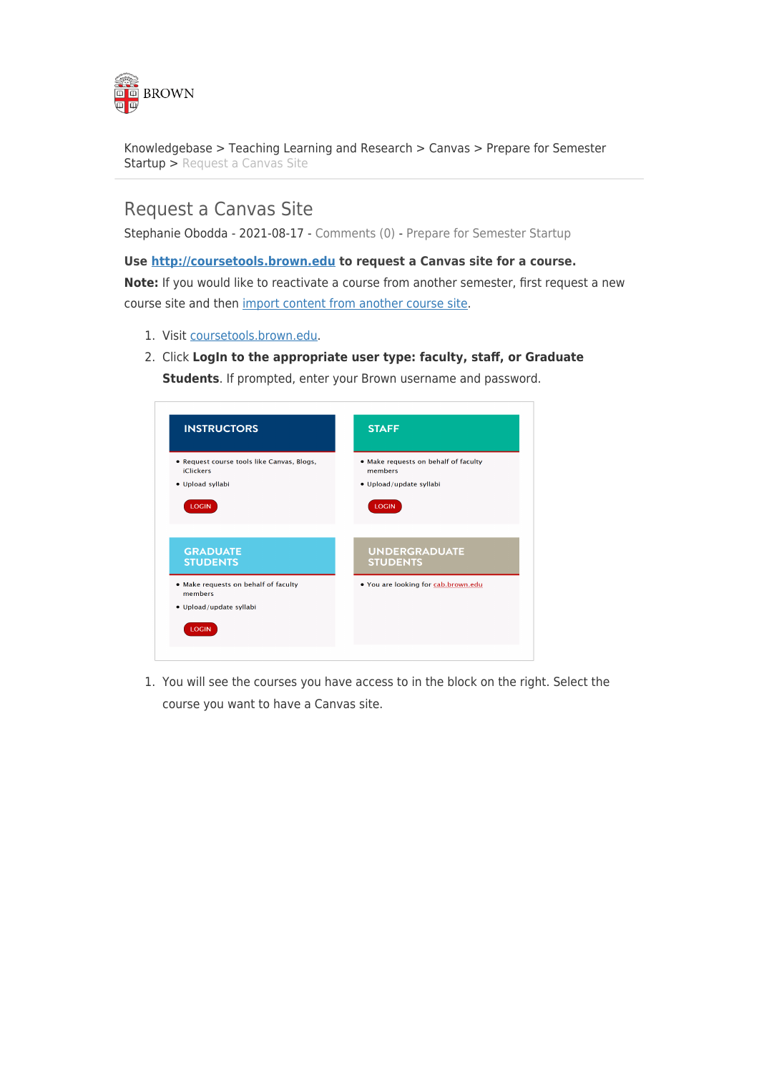

[Knowledgebase](https://ithelp.brown.edu/kb) > [Teaching Learning and Research](https://ithelp.brown.edu/kb/teaching-learning-and-research) > [Canvas](https://ithelp.brown.edu/kb/canvas) > [Prepare for Semester](https://ithelp.brown.edu/kb/prepare-for-semester-startup) [Startup](https://ithelp.brown.edu/kb/prepare-for-semester-startup) > [Request a Canvas Site](https://ithelp.brown.edu/kb/articles/request-a-canvas-site)

## Request a Canvas Site

Stephanie Obodda - 2021-08-17 - [Comments \(0\)](#page--1-0) - [Prepare for Semester Startup](https://ithelp.brown.edu/kb/prepare-for-semester-startup)

## **Use <http://coursetools.brown.edu> to request a Canvas site for a course.**

**Note:** If you would like to reactivate a course from another semester, first request a new course site and then [import content from another course sit](https://ithelp.brown.edu/kb/articles/150-importing-content-from-another-canvas-course)[e.](http://www.brown.edu/information-technology/knowledge-base/article/1260)

- 1. Visit [coursetools.brown.edu](http://coursetools.brown.edu).
- 2. Click **LogIn to the appropriate user type: faculty, staff, or Graduate**

**Students**. If prompted, enter your Brown username and password.



1. You will see the courses you have access to in the block on the right. Select the course you want to have a Canvas site.